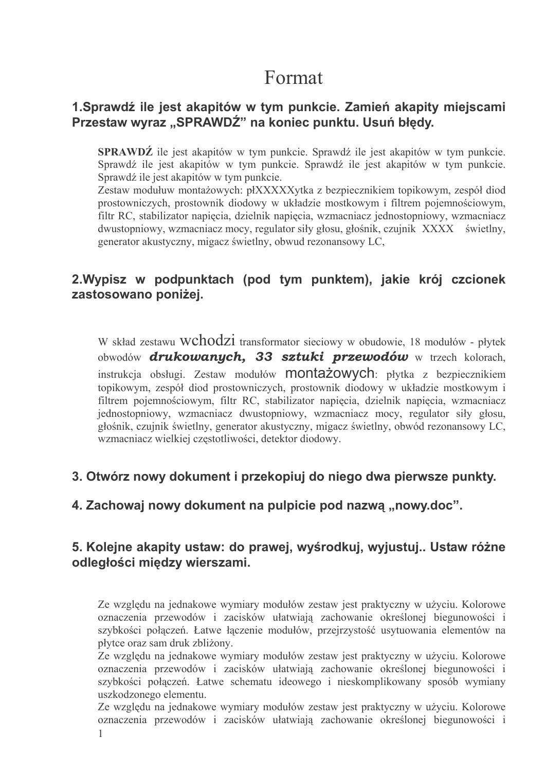# Format

#### 1. Sprawdź ile jest akapitów w tym punkcie. Zamień akapity miejscami Przestaw wyraz "SPRAWDŹ" na koniec punktu. Usuń błędy.

**SPRAWDŹ** ile jest akapitów w tym punkcie. Sprawdź ile jest akapitów w tym punkcie. Sprawdź ile jest akapitów w tym punkcie. Sprawdź ile jest akapitów w tym punkcie. Sprawdź ile jest akapitów w tym punkcie.

Zestaw modułuw montażowych: płXXXXXytka z bezpiecznikiem topikowym, zespół diod prostowniczych, prostownik diodowy w układzie mostkowym i filtrem pojemnościowym, filtr RC, stabilizator napiecia, dzielnik napiecia, wzmacniacz jednostopniowy, wzmacniacz dwustopniowy, wzmacniacz mocy, regulator siły głosu, głośnik, czujnik XXXX świetlny, generator akustyczny, migacz świetlny, obwud rezonansowy LC,

## 2. Wypisz w podpunktach (pod tym punktem), jakie krój czcionek zastosowano poniżej.

W skład zestawu WChOdzi transformator sieciowy w obudowie, 18 modułów - płytek obwodów **drukowanych, 33 sztuki przewodów** w trzech kolorach, instrukcja obsługi. Zestaw modułów **MONOCO (producjicy)**: płytka z bezpiecznikiem topikowym, zespół diod prostowniczych, prostownik diodowy w układzie mostkowym i filtrem pojemnościowym, filtr RC, stabilizator napięcia, dzielnik napięcia, wzmacniacz jednostopniowy, wzmacniacz dwustopniowy, wzmacniacz mocy, regulator siły głosu, głośnik, czujnik świetlny, generator akustyczny, migacz świetlny, obwód rezonansowy LC, wzmacniacz wielkiej częstotliwości, detektor diodowy.

#### 3. Otwórz nowy dokument i przekopiuj do niego dwa pierwsze punkty.

#### 4. Zachowaj nowy dokument na pulpicie pod nazwa "nowy.doc".

#### 5. Kolejne akapity ustaw: do prawej, wyśrodkuj, wyjustuj.. Ustaw różne odległości między wierszami.

Ze względu na jednakowe wymiary modułów zestaw jest praktyczny w użyciu. Kolorowe oznaczenia przewodów i zacisków ułatwiają zachowanie określonej biegunowości i szybkości połaczeń. Łatwe łaczenie modułów, przejrzystość usytuowania elementów na płytce oraz sam druk zbliżony.

Ze względu na jednakowe wymiary modułów zestaw jest praktyczny w użyciu. Kolorowe oznaczenia przewodów i zacisków ułatwiają zachowanie określonej biegunowości i szybkości połączeń. Łatwe schematu ideowego i nieskomplikowany sposób wymiany uszkodzonego elementu.

Ze względu na jednakowe wymiary modułów zestaw jest praktyczny w użyciu. Kolorowe oznaczenia przewodów i zacisków ułatwiają zachowanie określonej biegunowości i  $\mathbf{1}$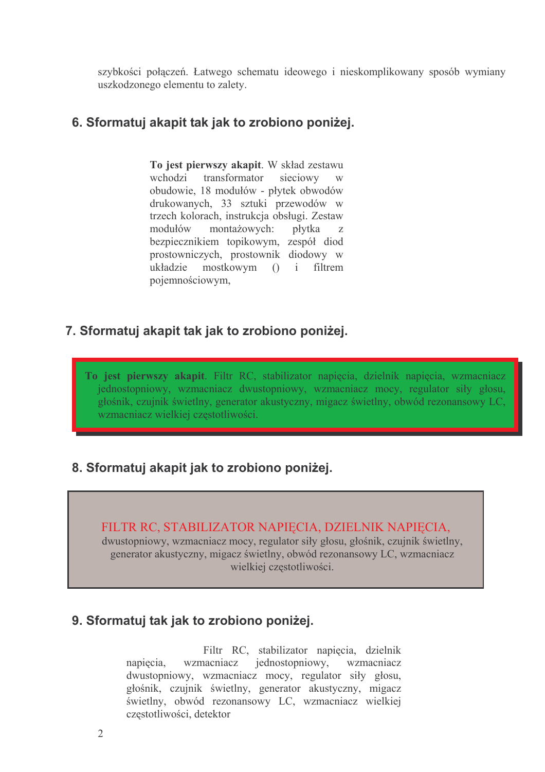szybkości połączeń. Łatwego schematu ideowego i nieskomplikowany sposób wymiany uszkodzonego elementu to zalety.

#### 6. Sformatuj akapit tak jak to zrobiono poniżej.

To jest pierwszy akapit. W skład zestawu wchodzi transformator sięciowy obudowie, 18 modułów - płytek obwodów drukowanych, 33 sztuki przewodów w trzech kolorach, instrukcja obsługi. Zestaw modułów montażowych: płytka  $\overline{z}$ bezpiecznikiem topikowym, zespół diod prostowniczych, prostownik diodowy w mostkowym () i filtrem układzie pojemnościowym,

#### 7. Sformatuj akapit tak jak to zrobiono poniżej.

To jest pierwszy akapit. Filtr RC, stabilizator napięcia, dzielnik napięcia, wzmacniacz jednostopniowy, wzmacniacz dwustopniowy, wzmacniacz mocy, regulator siły głosu, głośnik, czujnik świetlny, generator akustyczny, migacz świetlny, obwód rezonansowy LC, wzmacniacz wielkiej częstotliwości.

## 8. Sformatuj akapit jak to zrobiono poniżej.

FILTR RC, STABILIZATOR NAPIECIA, DZIELNIK NAPIECIA,

dwustopniowy, wzmacniacz mocy, regulator siły głosu, głośnik, czujnik świetlny, generator akustyczny, migacz świetlny, obwód rezonansowy LC, wzmacniacz wielkiej częstotliwości.

#### 9. Sformatuj tak jak to zrobiono poniżej.

Filtr RC, stabilizator napiecia, dzielnik wzmacniacz wzmacniacz jednostopniowy, napiecia. dwustopniowy, wzmacniacz mocy, regulator siły głosu, głośnik, czujnik świetlny, generator akustyczny, migacz świetlny, obwód rezonansowy LC, wzmacniacz wielkiej częstotliwości, detektor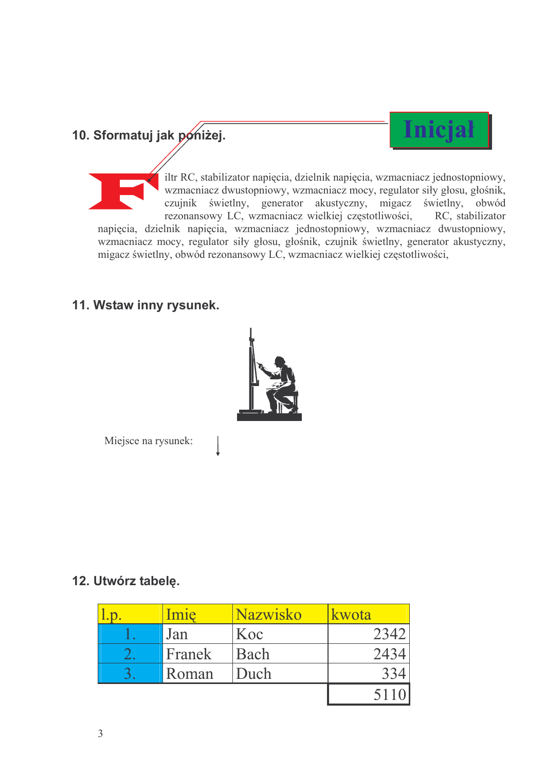# 10. Sformatuj jak pońiżej.



iltr RC, stabilizator napięcia, dzielnik napięcia, wzmacniacz jednostopniowy, wzmacniacz dwustopniowy, wzmacniacz mocy, regulator siły głosu, głośnik, czujnik świetlny, generator akustyczny, migacz świetlny, obwód rezonansowy LC, wzmacniacz wielkiej częstotliwości, RC, stabilizator napięcia, dzielnik napięcia, wzmacniacz jednostopniowy, wzmacniacz dwustopniowy, wzmacniacz mocy, regulator siły głosu, głośnik, czujnik świetlny, generator akustyczny, migacz świetlny, obwód rezonansowy LC, wzmacniacz wielkiej częstotliwości,

## 11. Wstaw inny rysunek.



Miejsce na rysunek:

## 12. Utwórz tabelę.

| mie    | Nazwisko | kwota |
|--------|----------|-------|
| Jan    | Koc      | 2342  |
| Franek | Bach     | 2434  |
| Roman  | Duch     |       |
|        |          | 5110  |